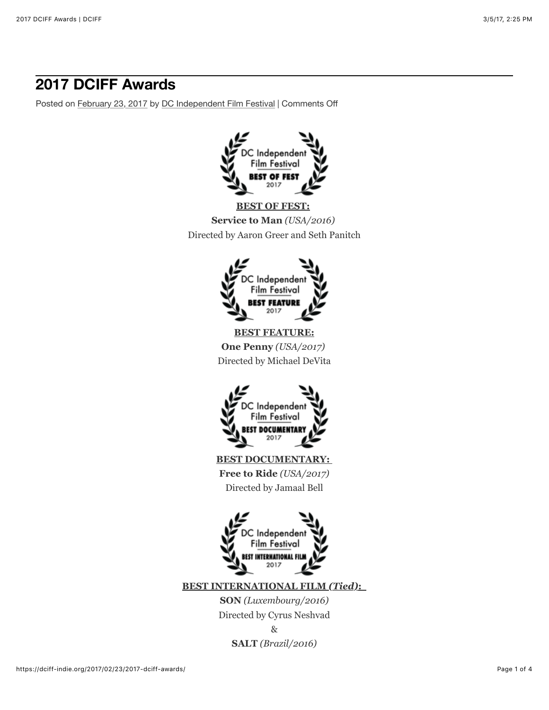# **2017 DCIFF Awards**

Posted on [February 23, 2017](https://dciff-indie.org/2017/02/23/2017-dciff-awards/) by [DC Independent Film Festival](https://dciff-indie.org/author/dciffair/) | Comments Off





**BEST FEATURE:**

**One Penny** *(USA/2017)*  Directed by Michael DeVita



**BEST DOCUMENTARY: Free to Ride** *(USA/2017)* Directed by Jamaal Bell



**BEST INTERNATIONAL FILM** *(Tied)***:** 

**SON** *(Luxembourg/2016)* Directed by Cyrus Neshvad

> & **SALT** *(Brazil/2016)*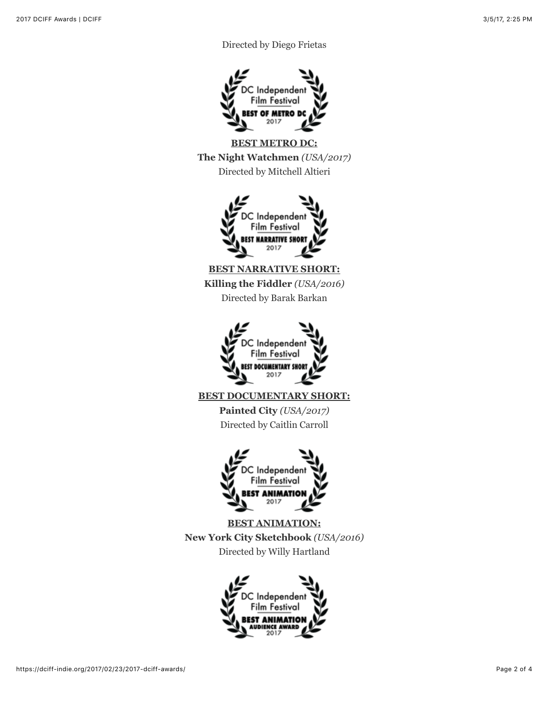# Directed by Diego Frietas



**BEST METRO DC: The Night Watchmen** *(USA/2017)* Directed by Mitchell Altieri



**BEST NARRATIVE SHORT: Killing the Fiddler** *(USA/2016)* Directed by Barak Barkan



**BEST DOCUMENTARY SHORT:**

**Painted City** *(USA/2017)* Directed by Caitlin Carroll



**BEST ANIMATION: New York City Sketchbook** *(USA/2016)* Directed by Willy Hartland

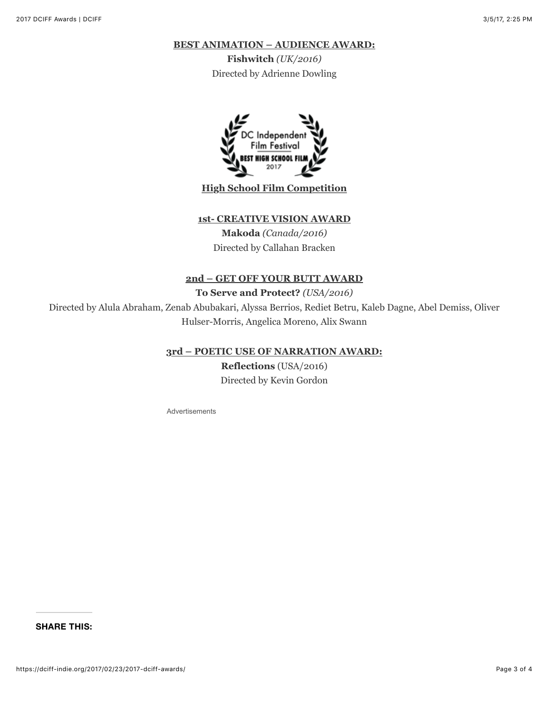### **BEST ANIMATION – AUDIENCE AWARD:**

**Fishwitch** *(UK/2016)* Directed by Adrienne Dowling



## **High School Film Competition**

## **1st- CREATIVE VISION AWARD**

**Makoda** *(Canada/2016)* Directed by Callahan Bracken

#### **2nd – GET OFF YOUR BUTT AWARD**

**To Serve and Protect?** *(USA/2016)*

Directed by Alula Abraham, Zenab Abubakari, Alyssa Berrios, Rediet Betru, Kaleb Dagne, Abel Demiss, Oliver Hulser-Morris, Angelica Moreno, Alix Swann

#### **3rd – POETIC USE OF NARRATION AWARD:**

**Reflections** (USA/2016) Directed by Kevin Gordon

Advertisements

**SHARE THIS:**